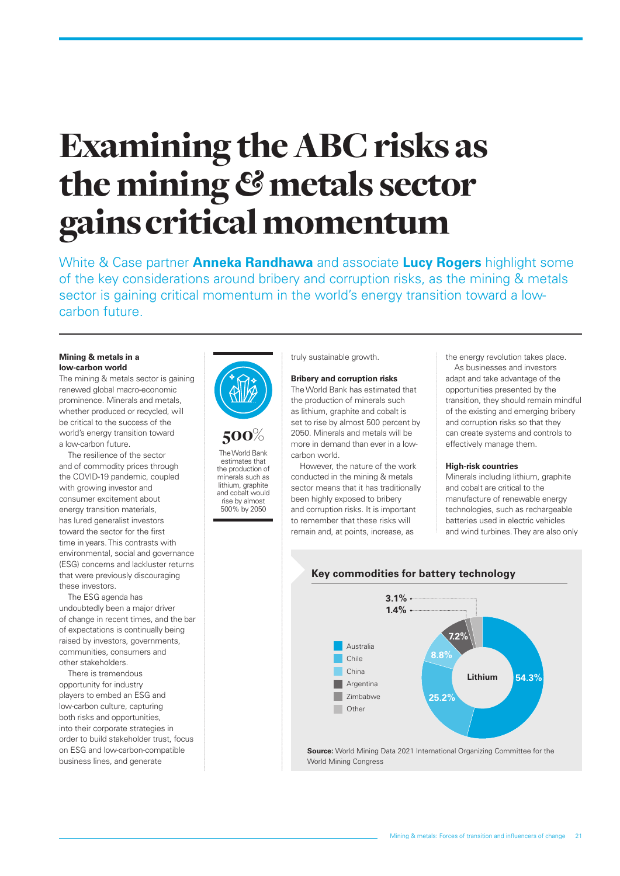# Examining the ABC risks as the mining *&* metals sector gains critical momentum

White & Case partner **Anneka Randhawa** and associate **Lucy Rogers** highlight some of the key considerations around bribery and corruption risks, as the mining & metals sector is gaining critical momentum in the world's energy transition toward a lowcarbon future.

### **Mining & metals in a low-carbon world**

The mining & metals sector is gaining renewed global macro-economic prominence. Minerals and metals, whether produced or recycled, will be critical to the success of the world's energy transition toward a low-carbon future.

The resilience of the sector and of commodity prices through the COVID-19 pandemic, coupled with growing investor and consumer excitement about energy transition materials has lured generalist investors toward the sector for the first time in years. This contrasts with environmental, social and governance (ESG) concerns and lackluster returns that were previously discouraging these investors.

The ESG agenda has undoubtedly been a major driver of change in recent times, and the bar of expectations is continually being raised by investors, governments, communities, consumers and other stakeholders.

There is tremendous opportunity for industry players to embed an ESG and low-carbon culture, capturing both risks and opportunities, into their corporate strategies in order to build stakeholder trust, focus on ESG and low-carbon-compatible business lines, and generate



500% The World Bank estimates that the production of minerals such as lithium, graphite and cobalt would rise by almost 500% by 2050

truly sustainable growth.

#### **Bribery and corruption risks**

The World Bank has estimated that the production of minerals such as lithium, graphite and cobalt is set to rise by almost 500 percent by 2050. Minerals and metals will be more in demand than ever in a lowcarbon world.

However, the nature of the work conducted in the mining & metals sector means that it has traditionally been highly exposed to bribery and corruption risks. It is important to remember that these risks will remain and, at points, increase, as

the energy revolution takes place.

As businesses and investors adapt and take advantage of the opportunities presented by the transition, they should remain mindful of the existing and emerging bribery and corruption risks so that they can create systems and controls to effectively manage them.

#### **High-risk countries**

Minerals including lithium, graphite and cobalt are critical to the manufacture of renewable energy technologies, such as rechargeable batteries used in electric vehicles and wind turbines. They are also only



**Key commodities for battery technology**

**Source:** World Mining Data 2021 International Organizing Committee for the World Mining Congress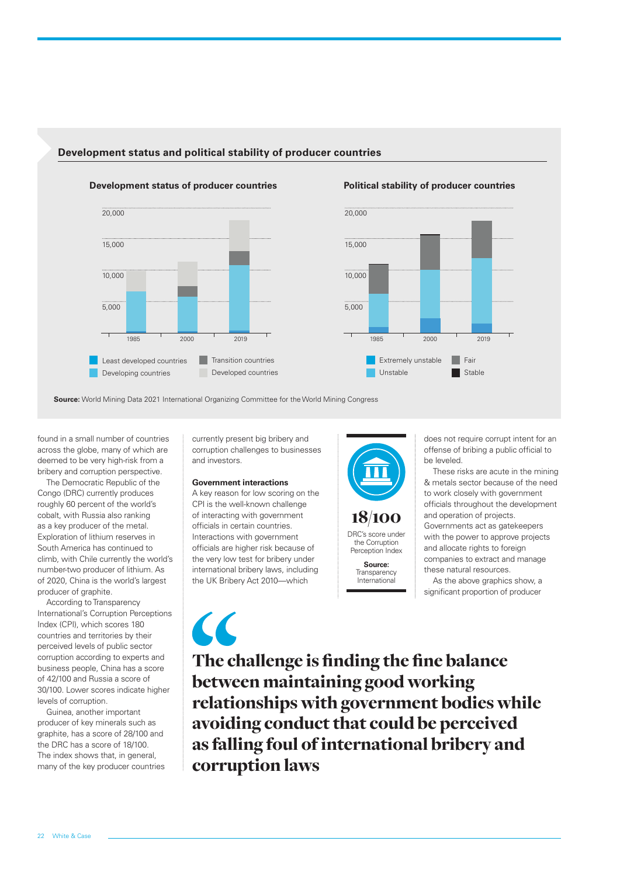

# **Development status and political stability of producer countries**



**Source:** World Mining Data 2021 International Organizing Committee for the World Mining Congress

found in a small number of countries across the globe, many of which are deemed to be very high-risk from a bribery and corruption perspective.

The Democratic Republic of the Congo (DRC) currently produces roughly 60 percent of the world's cobalt, with Russia also ranking as a key producer of the metal. Exploration of lithium reserves in South America has continued to climb, with Chile currently the world's number-two producer of lithium. As of 2020, China is the world's largest producer of graphite.

According to Transparency International's Corruption Perceptions Index (CPI), which scores 180 countries and territories by their perceived levels of public sector corruption according to experts and business people, China has a score of 42/100 and Russia a score of 30/100. Lower scores indicate higher levels of corruption.

Guinea, another important producer of key minerals such as graphite, has a score of 28/100 and the DRC has a score of 18/100. The index shows that, in general, many of the key producer countries currently present big bribery and corruption challenges to businesses and investors.

## **Government interactions**

A key reason for low scoring on the CPI is the well-known challenge of interacting with government officials in certain countries. Interactions with government officials are higher risk because of the very low test for bribery under international bribery laws, including the UK Bribery Act 2010—which



does not require corrupt intent for an offense of bribing a public official to be leveled.

These risks are acute in the mining & metals sector because of the need to work closely with government officials throughout the development and operation of projects. Governments act as gatekeepers with the power to approve projects and allocate rights to foreign companies to extract and manage

these natural resources. As the above graphics show, a

significant proportion of producer

The challenge is finding the fine balance between maintaining good working relationships with government bodies while avoiding conduct that could be perceived as falling foul of international bribery and corruption laws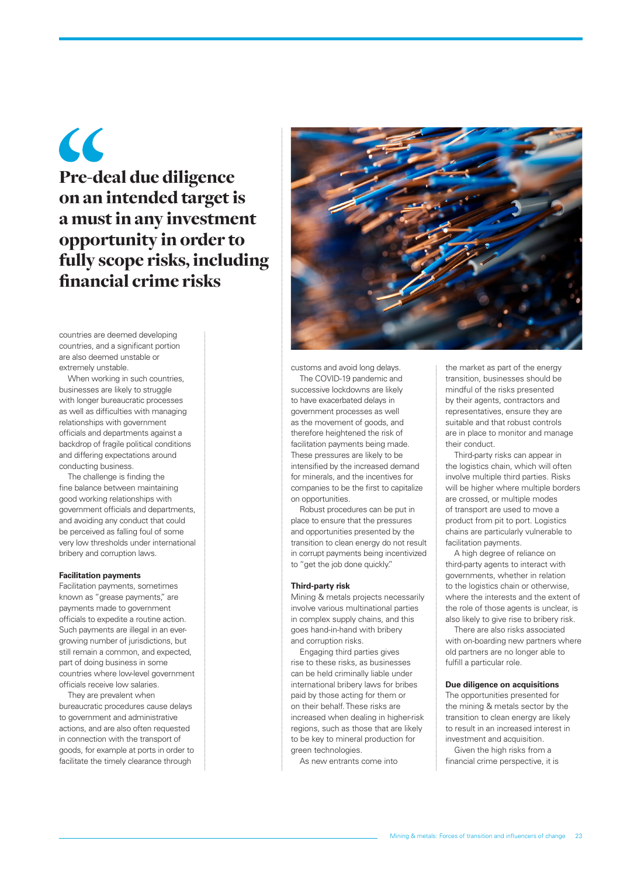$\epsilon$ Pre-deal due diligence on an intended target is a must in any investment opportunity in order to fully scope risks, including financial crime risks

countries are deemed developing countries, and a significant portion are also deemed unstable or extremely unstable.

When working in such countries, businesses are likely to struggle with longer bureaucratic processes as well as difficulties with managing relationships with government officials and departments against a backdrop of fragile political conditions and differing expectations around conducting business.

The challenge is finding the fine balance between maintaining good working relationships with government officials and departments, and avoiding any conduct that could be perceived as falling foul of some very low thresholds under international bribery and corruption laws.

#### **Facilitation payments**

Facilitation payments, sometimes known as "grease payments," are payments made to government officials to expedite a routine action. Such payments are illegal in an evergrowing number of jurisdictions, but still remain a common, and expected, part of doing business in some countries where low-level government officials receive low salaries.

They are prevalent when bureaucratic procedures cause delays to government and administrative actions, and are also often requested in connection with the transport of goods, for example at ports in order to facilitate the timely clearance through



customs and avoid long delays. The COVID-19 pandemic and successive lockdowns are likely to have exacerbated delays in government processes as well as the movement of goods, and therefore heightened the risk of facilitation payments being made. These pressures are likely to be intensified by the increased demand for minerals, and the incentives for companies to be the first to capitalize on opportunities.

Robust procedures can be put in place to ensure that the pressures and opportunities presented by the transition to clean energy do not result in corrupt payments being incentivized to "get the job done quickly."

#### **Third-party risk**

Mining & metals projects necessarily involve various multinational parties in complex supply chains, and this goes hand-in-hand with bribery and corruption risks.

Engaging third parties gives rise to these risks, as businesses can be held criminally liable under international bribery laws for bribes paid by those acting for them or on their behalf. These risks are increased when dealing in higher-risk regions, such as those that are likely to be key to mineral production for green technologies.

As new entrants come into

the market as part of the energy transition, businesses should be mindful of the risks presented by their agents, contractors and representatives, ensure they are suitable and that robust controls are in place to monitor and manage their conduct.

Third-party risks can appear in the logistics chain, which will often involve multiple third parties. Risks will be higher where multiple borders are crossed, or multiple modes of transport are used to move a product from pit to port. Logistics chains are particularly vulnerable to facilitation payments.

A high degree of reliance on third-party agents to interact with governments, whether in relation to the logistics chain or otherwise, where the interests and the extent of the role of those agents is unclear, is also likely to give rise to bribery risk.

There are also risks associated with on-boarding new partners where old partners are no longer able to fulfill a particular role.

#### **Due diligence on acquisitions**

The opportunities presented for the mining & metals sector by the transition to clean energy are likely to result in an increased interest in investment and acquisition.

Given the high risks from a financial crime perspective, it is